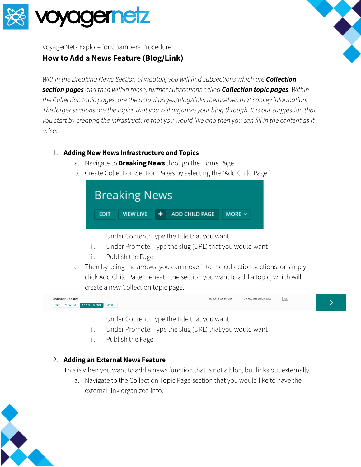



VoyagerNetz Explore for Chambers Procedure

## **How to Add a News Feature (Blog/Link)**

*Within the Breaking News Section of wagtail, you will find subsections which are Collection section pages and then within those, further subsections called Collection topic pages. Within the Collection topic pages, are the actual pages/blog/links themselves that convey information.* The larger sections are the topics that you will organize your blog through. It is our suggestion that you start by creating the infrastructure that you would like and then you can fill in the content as it *arises.*

## 1. **Adding New News Infrastructure and Topics**

- a. Navigate to **Breaking News** through the Home Page.
- b. Create Collection Section Pages by selecting the "Add Child Page"



- i. Under Content: Type the title that you want
- ii. Under Promote: Type the slug (URL) that you would want
- iii. Publish the Page
- c. Then by using the arrows, you can move into the collection sections, or simply click Add Child Page, beneath the section you want to add a topic, which will create a new Collection topic page.



- i. Under Content: Type the title that you want
- ii. Under Promote: Type the slug (URL) that you would want
- iii. Publish the Page

## 2. **Adding an External News Feature**

This is when you want to add a news function that is not a blog, but links out externally.

a. Navigate to the Collection Topic Page section that you would like to have the external link organized into.

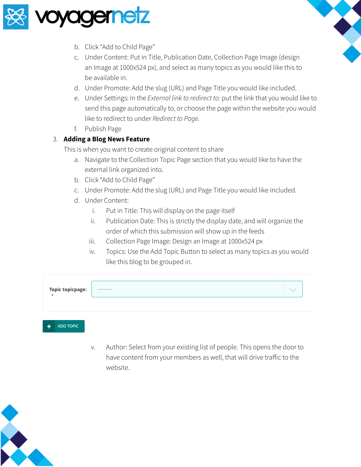

- b. Click "Add to Child Page"
- c. Under Content: Put in Title, Publication Date, Collection Page Image (design an Image at 1000x524 px), and select as many topics as you would like this to be available in.
- d. Under Promote: Add the slug (URL) and Page Title you would like included.
- e. Under Settings: In the *External link to redirect to:* put the link that you would like to send this page automatically to, or choose the page within the website you would like to redirect to under *Redirect to Page.*
- f. Publish Page

## 3. **Adding a Blog News Feature**

This is when you want to create original content to share

- a. Navigate to the Collection Topic Page section that you would like to have the external link organized into.
- b. Click "Add to Child Page"
- c. Under Promote: Add the slug (URL) and Page Title you would like included.
- d. Under Content:
	- i. Put in Title: This will display on the page itself
	- ii. Publication Date: This is strictly the display date, and will organize the order of which this submission will show up in the feeds
	- iii. Collection Page Image: Design an Image at 1000x524 px
	- iv. Topics: Use the Add Topic Button to select as many topics as you would like this blog to be grouped in.

| Topic topicpage:<br>* | ---------- |  |
|-----------------------|------------|--|
|                       |            |  |
| <b>ADD TODIC</b>      |            |  |

v. Author: Select from your existing list of people. This opens the door to have content from your members as well, that will drive traffic to the website.